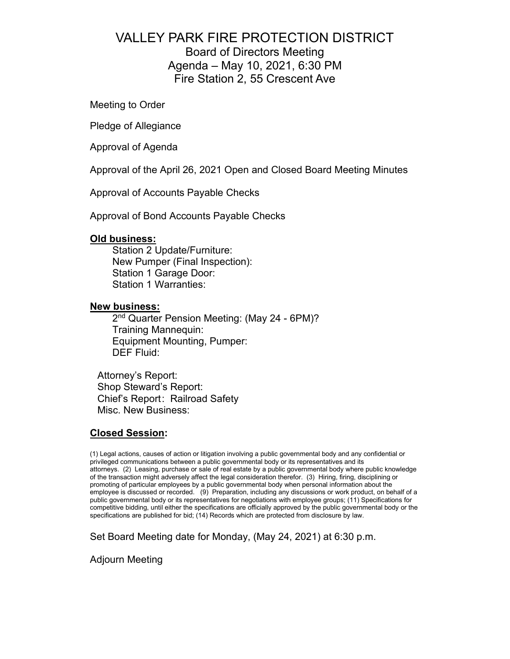# VALLEY PARK FIRE PROTECTION DISTRICT Board of Directors Meeting Agenda – May 10, 2021, 6:30 PM Fire Station 2, 55 Crescent Ave

Meeting to Order

Pledge of Allegiance

Approval of Agenda

Approval of the April 26, 2021 Open and Closed Board Meeting Minutes

Approval of Accounts Payable Checks

Approval of Bond Accounts Payable Checks

## **Old business:**

Station 2 Update/Furniture: New Pumper (Final Inspection): Station 1 Garage Door: Station 1 Warranties:

### **New business:**

2<sup>nd</sup> Quarter Pension Meeting: (May 24 - 6PM)? Training Mannequin: Equipment Mounting, Pumper: DEF Fluid:

Attorney's Report: Shop Steward's Report: Chief's Report: Railroad Safety Misc. New Business:

# **Closed Session:**

(1) Legal actions, causes of action or litigation involving a public governmental body and any confidential or privileged communications between a public governmental body or its representatives and its attorneys. (2) Leasing, purchase or sale of real estate by a public governmental body where public knowledge of the transaction might adversely affect the legal consideration therefor. (3) Hiring, firing, disciplining or promoting of particular employees by a public governmental body when personal information about the employee is discussed or recorded. (9) Preparation, including any discussions or work product, on behalf of a public governmental body or its representatives for negotiations with employee groups; (11) Specifications for competitive bidding, until either the specifications are officially approved by the public governmental body or the specifications are published for bid; (14) Records which are protected from disclosure by law.

Set Board Meeting date for Monday, (May 24, 2021) at 6:30 p.m.

Adjourn Meeting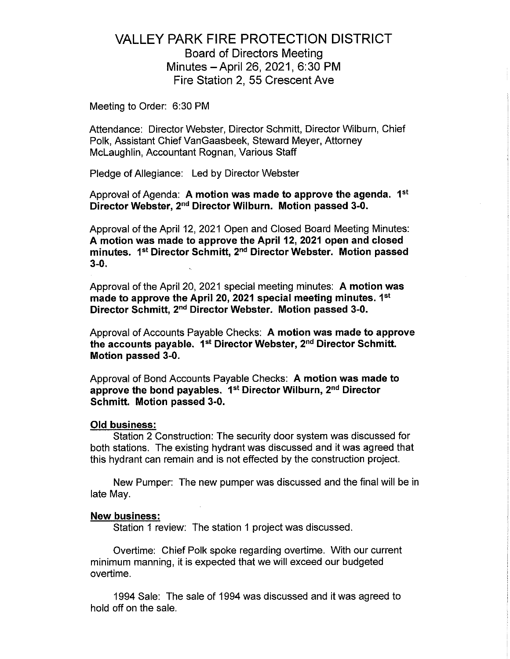# **VALLEY PARK FIRE PROTECTION DISTRICT Board of Directors Meeting** Minutes - April 26, 2021, 6:30 PM Fire Station 2, 55 Crescent Ave

Meeting to Order: 6:30 PM

Attendance: Director Webster, Director Schmitt, Director Wilburn, Chief Polk, Assistant Chief VanGaasbeek, Steward Meyer, Attorney McLaughlin, Accountant Rognan, Various Staff

Pledge of Allegiance: Led by Director Webster

Approval of Agenda: A motion was made to approve the agenda. 1<sup>st</sup> Director Webster, 2<sup>nd</sup> Director Wilburn. Motion passed 3-0.

Approval of the April 12, 2021 Open and Closed Board Meeting Minutes: A motion was made to approve the April 12, 2021 open and closed minutes. 1<sup>st</sup> Director Schmitt, 2<sup>nd</sup> Director Webster. Motion passed  $3-0.$ 

Approval of the April 20, 2021 special meeting minutes: A motion was made to approve the April 20, 2021 special meeting minutes. 1<sup>st</sup> Director Schmitt, 2<sup>nd</sup> Director Webster. Motion passed 3-0.

Approval of Accounts Payable Checks: A motion was made to approve the accounts payable. 1st Director Webster, 2nd Director Schmitt. Motion passed 3-0.

Approval of Bond Accounts Payable Checks: A motion was made to approve the bond payables. 1<sup>st</sup> Director Wilburn, 2<sup>nd</sup> Director Schmitt. Motion passed 3-0.

#### **Old business:**

Station 2 Construction: The security door system was discussed for both stations. The existing hydrant was discussed and it was agreed that this hydrant can remain and is not effected by the construction project.

New Pumper: The new pumper was discussed and the final will be in late May.

#### **New business:**

Station 1 review: The station 1 project was discussed.

Overtime: Chief Polk spoke regarding overtime. With our current minimum manning, it is expected that we will exceed our budgeted overtime.

1994 Sale: The sale of 1994 was discussed and it was agreed to hold off on the sale.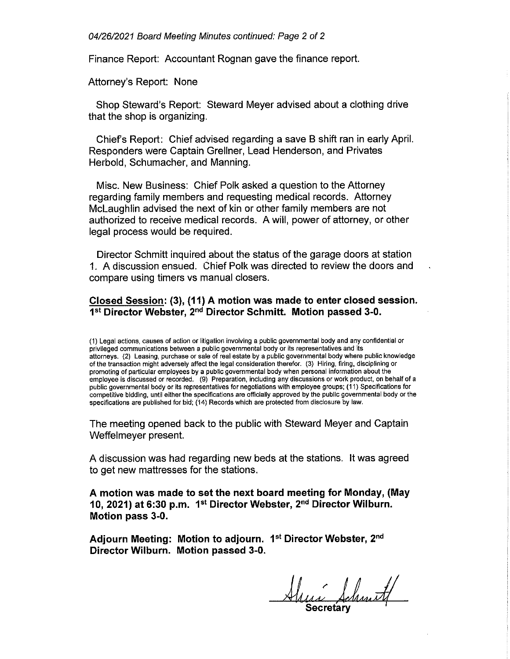04/26/2021 Board Meeting Minutes continued: Page 2 of 2

Finance Report: Accountant Rognan gave the finance report.

Attorney's Report: None

Shop Steward's Report: Steward Meyer advised about a clothing drive that the shop is organizing.

Chief's Report: Chief advised regarding a save B shift ran in early April. Responders were Captain Grellner, Lead Henderson, and Privates Herbold, Schumacher, and Manning.

Misc. New Business: Chief Polk asked a question to the Attorney regarding family members and requesting medical records. Attorney McLaughlin advised the next of kin or other family members are not authorized to receive medical records. A will, power of attorney, or other legal process would be required.

Director Schmitt inquired about the status of the garage doors at station 1. A discussion ensued. Chief Polk was directed to review the doors and compare using timers vs manual closers.

## Closed Session: (3), (11) A motion was made to enter closed session. 1st Director Webster, 2<sup>nd</sup> Director Schmitt. Motion passed 3-0.

(1) Legal actions, causes of action or litigation involving a public governmental body and any confidential or privileged communications between a public governmental body or its representatives and its attorneys. (2) Leasing, purchase or sale of real estate by a public governmental body where public knowledge of the transaction might adversely affect the legal consideration therefor. (3) Hiring, firing, disciplining or promoting of particular employees by a public governmental body when personal information about the employee is discussed or recorded. (9) Preparation, including any discussions or work product, on behalf of a public governmental body or its representatives for negotiations with employee groups; (11) Specifications for competitive bidding, until either the specifications are officially approved by the public governmental body or the specifications are published for bid; (14) Records which are protected from disclosure by law.

The meeting opened back to the public with Steward Meyer and Captain Weffelmeyer present.

A discussion was had regarding new beds at the stations. It was agreed to get new mattresses for the stations.

A motion was made to set the next board meeting for Monday, (May 10, 2021) at 6:30 p.m. 1<sup>st</sup> Director Webster, 2<sup>nd</sup> Director Wilburn. Motion pass 3-0.

Adjourn Meeting: Motion to adjourn. 1<sup>st</sup> Director Webster, 2<sup>nd</sup> Director Wilburn. Motion passed 3-0.

Alexa Schmitt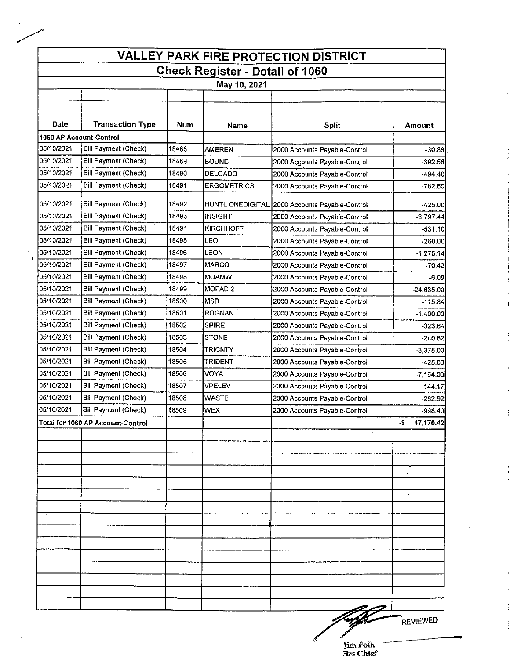| <b>VALLEY PARK FIRE PROTECTION DISTRICT</b> |                                   |       |                    |                                                |                  |  |  |  |  |  |  |
|---------------------------------------------|-----------------------------------|-------|--------------------|------------------------------------------------|------------------|--|--|--|--|--|--|
| <b>Check Register - Detail of 1060</b>      |                                   |       |                    |                                                |                  |  |  |  |  |  |  |
| May 10, 2021                                |                                   |       |                    |                                                |                  |  |  |  |  |  |  |
|                                             |                                   |       |                    |                                                |                  |  |  |  |  |  |  |
|                                             |                                   |       |                    |                                                |                  |  |  |  |  |  |  |
| Date                                        | <b>Transaction Type</b>           | Num   | Name               | <b>Split</b>                                   | Amount           |  |  |  |  |  |  |
| 1060 AP Account-Control                     |                                   |       |                    |                                                |                  |  |  |  |  |  |  |
| 05/10/2021                                  | Bill Payment (Check)              | 18488 | <b>AMEREN</b>      | 2000 Accounts Payable-Control                  | $-30.88$         |  |  |  |  |  |  |
| 05/10/2021                                  | <b>Bill Payment (Check)</b>       | 18489 | <b>BOUND</b>       | 2000 Accounts Payable-Control                  | $-392.56$        |  |  |  |  |  |  |
| 05/10/2021                                  | Bill Payment (Check)              | 18490 | DELGADO            | 2000 Accounts Payable-Control                  | $-494.40$        |  |  |  |  |  |  |
| 05/10/2021                                  | Bill Payment (Check)              | 18491 | <b>ERGOMETRICS</b> | 2000 Accounts Payable-Control                  | -782.60          |  |  |  |  |  |  |
| 05/10/2021                                  | Bill Payment (Check)              | 18492 |                    | HUNTL ONEDIGITAL 2000 Accounts Payable-Control | $-425.00$        |  |  |  |  |  |  |
| 05/10/2021                                  | Bill Payment (Check)              | 18493 | <b>INSIGHT</b>     | 2000 Accounts Payable-Control                  | $-3,797,44$      |  |  |  |  |  |  |
| 05/10/2021                                  | Bill Payment (Check)              | 18494 | <b>KIRCHHOFF</b>   | 2000 Accounts Payable-Control                  | $-531.10$        |  |  |  |  |  |  |
| 05/10/2021                                  | Bill Payment (Check)              | 18495 | LEO                | 2000 Accounts Payable-Control                  | $-260.00$        |  |  |  |  |  |  |
| 05/10/2021                                  | Bill Payment (Check)              | 18496 | LEON               | 2000 Accounts Payable-Control                  | $-1,275,14$      |  |  |  |  |  |  |
| 05/10/2021                                  | <b>Bill Payment (Check)</b>       | 18497 | <b>MARCO</b>       | 2000 Accounts Payable-Control                  | $-70.42$         |  |  |  |  |  |  |
| 105/10/2021                                 | <b>Bill Payment (Check)</b>       | 18498 | <b>MOAMW</b>       | 2000 Accounts Payable-Control                  | -6.09            |  |  |  |  |  |  |
| 05/10/2021                                  | <b>Bill Payment (Check)</b>       | 18499 | MOFAD 2            | 2000 Accounts Payable-Control                  | $-24,635.00$     |  |  |  |  |  |  |
| 05/10/2021                                  | Bill Payment (Check)              | 18500 | <b>MSD</b>         | 2000 Accounts Payable-Control                  | $-115.84$        |  |  |  |  |  |  |
| 05/10/2021                                  | Bill Payment (Check)              | 18501 | ROGNAN             | 2000 Accounts Payable-Control                  | $-1,400.00$      |  |  |  |  |  |  |
| 05/10/2021                                  | <b>Bill Payment (Check)</b>       | 18502 | <b>SPIRE</b>       | 2000 Accounts Payable-Control                  | $-323.64$        |  |  |  |  |  |  |
| 05/10/2021                                  | Bill Payment (Check)              | 18503 | <b>STONE</b>       | 2000 Accounts Payable-Control                  | $-240.82$        |  |  |  |  |  |  |
| 05/10/2021                                  | <b>Bill Payment (Check)</b>       | 13504 | <b>TRICNTY</b>     | 2000 Accounts Payable-Control                  | $-3,375.00$      |  |  |  |  |  |  |
| 05/10/2021                                  | Bill Payment (Check)              | 18505 | TRIDENT            | 2000 Accounts Payable-Control                  | -425.00          |  |  |  |  |  |  |
| 05/10/2021                                  | Bill Payment (Check)              | 18506 | VOYA ·             | 2000 Accounts Payable-Control                  | $-7,164.00$      |  |  |  |  |  |  |
| 05/10/2021                                  | <b>Bill Payment (Check)</b>       | 18507 | VPELEV             | 2000 Accounts Payable-Control                  | $-144.17$        |  |  |  |  |  |  |
| 05/10/2021                                  | <b>Bill Payment (Check)</b>       | 18508 | <b>WASTE</b>       | 2000 Accounts Payable-Control                  | $-282.92$        |  |  |  |  |  |  |
| 05/10/2021                                  | <b>Bill Payment (Check)</b>       | 18509 | WEX                | 2000 Accounts Payable-Control                  | $-998.40$        |  |  |  |  |  |  |
|                                             | Total for 1060 AP Account-Control |       |                    |                                                | 47,170.42<br>-\$ |  |  |  |  |  |  |
|                                             |                                   |       |                    | $\ddot{\phantom{a}}$                           |                  |  |  |  |  |  |  |
|                                             |                                   |       |                    |                                                |                  |  |  |  |  |  |  |
|                                             |                                   |       |                    |                                                |                  |  |  |  |  |  |  |
|                                             |                                   |       |                    |                                                | $\frac{1}{2}$    |  |  |  |  |  |  |
|                                             |                                   |       |                    |                                                |                  |  |  |  |  |  |  |
|                                             |                                   |       |                    |                                                | र्               |  |  |  |  |  |  |
|                                             |                                   |       |                    |                                                |                  |  |  |  |  |  |  |
|                                             |                                   |       |                    |                                                |                  |  |  |  |  |  |  |
|                                             |                                   |       |                    |                                                |                  |  |  |  |  |  |  |
|                                             |                                   |       |                    |                                                |                  |  |  |  |  |  |  |
|                                             |                                   |       |                    |                                                |                  |  |  |  |  |  |  |
|                                             |                                   |       |                    |                                                |                  |  |  |  |  |  |  |
|                                             |                                   |       |                    |                                                |                  |  |  |  |  |  |  |
|                                             |                                   |       |                    |                                                |                  |  |  |  |  |  |  |
|                                             |                                   |       |                    |                                                |                  |  |  |  |  |  |  |
|                                             |                                   | ÷     |                    |                                                | <b>REVIEWED</b>  |  |  |  |  |  |  |
|                                             |                                   |       |                    |                                                |                  |  |  |  |  |  |  |

 $\pmb{\downarrow}$ 

Jim Polk<br>Fire Chief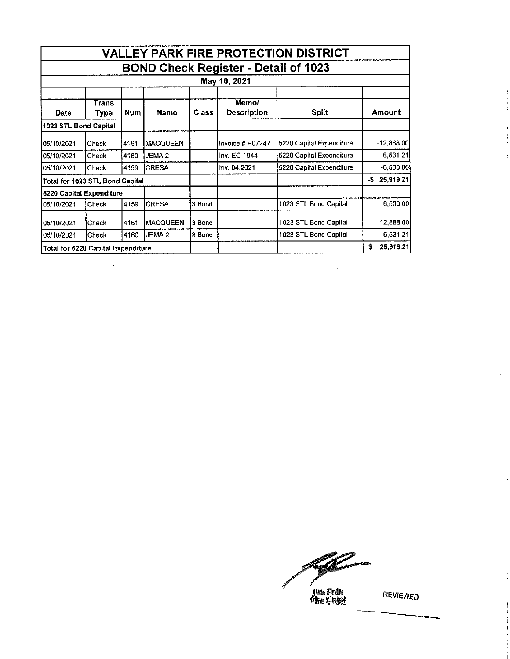| <b>VALLEY PARK FIRE PROTECTION DISTRICT</b><br><b>BOND Check Register - Detail of 1023</b> |               |      |                   |        |                             |                          |                  |  |  |  |  |
|--------------------------------------------------------------------------------------------|---------------|------|-------------------|--------|-----------------------------|--------------------------|------------------|--|--|--|--|
|                                                                                            |               |      |                   |        |                             |                          |                  |  |  |  |  |
| Date                                                                                       | Trans<br>Type | Num  | Name              | Class  | Memo/<br><b>Description</b> | <b>Split</b>             | <b>Amount</b>    |  |  |  |  |
| 1023 STL Bond Capital                                                                      |               |      |                   |        |                             |                          |                  |  |  |  |  |
| 105/10/2021                                                                                | Check         | 4161 | <b>MACQUEEN</b>   |        | Invoice # P07247            | 5220 Capital Expenditure | $-12,888.00$     |  |  |  |  |
| 05/10/2021                                                                                 | Check         | 4160 | JEMA <sub>2</sub> |        | Inv. EG 1944                | 5220 Capital Expenditure | $-6,531.21$      |  |  |  |  |
| 105/10/2021                                                                                | Check         | 4159 | <b>CRESA</b>      |        | Inv. 04.2021                | 5220 Capital Expenditure | $-6,500.00$      |  |  |  |  |
| Total for 1023 STL Bond Capital                                                            |               |      |                   |        |                             |                          | 25,919.21<br>-\$ |  |  |  |  |
| 5220 Capital Expenditure                                                                   |               |      |                   |        |                             |                          |                  |  |  |  |  |
| 05/10/2021                                                                                 | <b>Check</b>  | 4159 | <b>CRESA</b>      | 3 Bond |                             | 1023 STL Bond Capital    | 6,500,00         |  |  |  |  |
| 05/10/2021                                                                                 | Check         | 4161 | <b>MACQUEEN</b>   | 3 Bond |                             | 1023 STL Bond Capital    | 12,888.00        |  |  |  |  |
| 05/10/2021                                                                                 | Check         | 4160 | JEMA <sub>2</sub> | 3 Bond |                             | 1023 STL Bond Capital    | 6,531.21         |  |  |  |  |
| Total for 5220 Capital Expenditure                                                         |               |      |                   |        |                             | 25,919.21<br>\$          |                  |  |  |  |  |

 $\ddot{\phantom{0}}$ 

فتعجز

**Jim Polk**<br>Alse Cluer

REVIEWED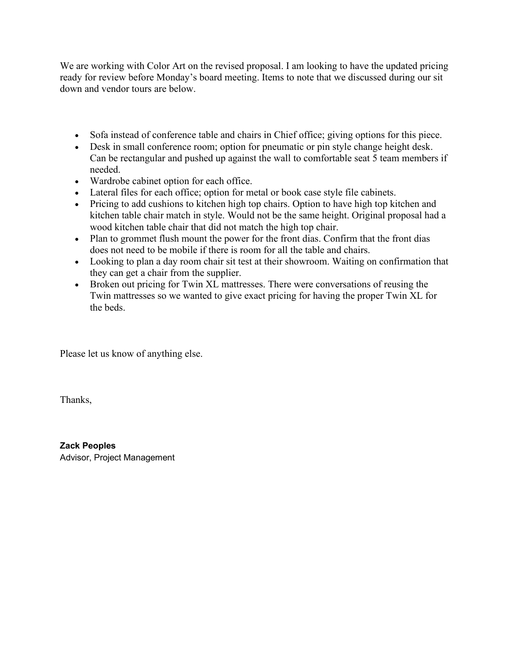We are working with Color Art on the revised proposal. I am looking to have the updated pricing ready for review before Monday's board meeting. Items to note that we discussed during our sit down and vendor tours are below.

- Sofa instead of conference table and chairs in Chief office; giving options for this piece.
- Desk in small conference room; option for pneumatic or pin style change height desk. Can be rectangular and pushed up against the wall to comfortable seat 5 team members if needed.
- Wardrobe cabinet option for each office.
- Lateral files for each office; option for metal or book case style file cabinets.
- Pricing to add cushions to kitchen high top chairs. Option to have high top kitchen and kitchen table chair match in style. Would not be the same height. Original proposal had a wood kitchen table chair that did not match the high top chair.
- Plan to grommet flush mount the power for the front dias. Confirm that the front dias does not need to be mobile if there is room for all the table and chairs.
- Looking to plan a day room chair sit test at their showroom. Waiting on confirmation that they can get a chair from the supplier.
- Broken out pricing for Twin XL mattresses. There were conversations of reusing the Twin mattresses so we wanted to give exact pricing for having the proper Twin XL for the beds.

Please let us know of anything else.

Thanks,

**Zack Peoples** Advisor, Project Management